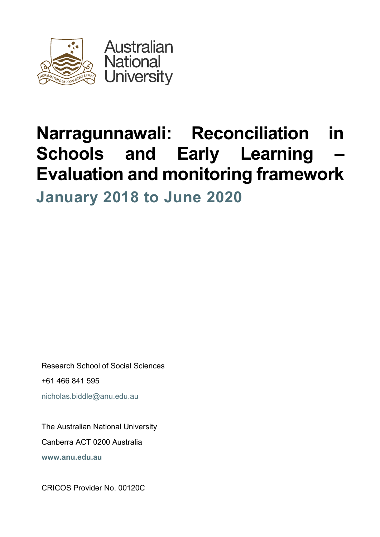

# **Narragunnawali: Reconciliation in Schools and Early Learning** *–* **Evaluation and monitoring framework**

**January 2018 to June 2020**

Research School of Social Sciences +61 466 841 595 nicholas.biddle@anu.edu.au

The Australian National University Canberra ACT 0200 Australia **www.anu.edu.au**

CRICOS Provider No. 00120C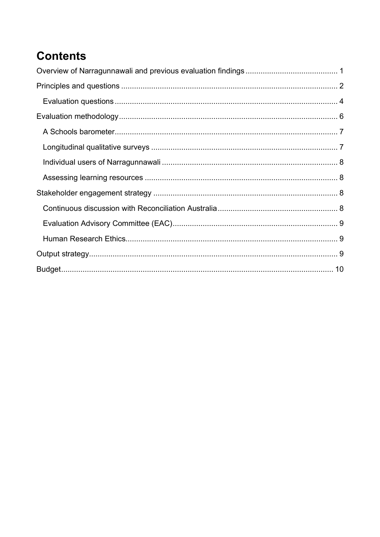## **Contents**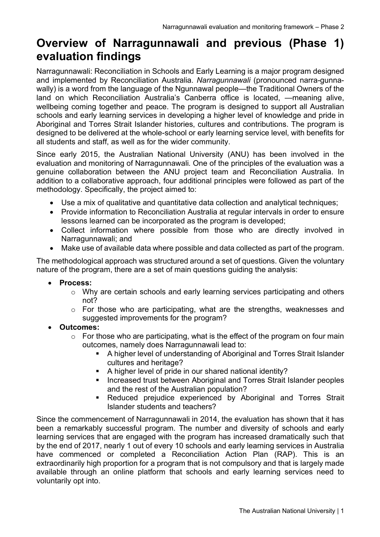### **Overview of Narragunnawali and previous (Phase 1) evaluation findings**

Narragunnawali: Reconciliation in Schools and Early Learning is a major program designed and implemented by Reconciliation Australia. *Narragunnawali* (pronounced narra-gunnawally) is a word from the language of the Ngunnawal people—the Traditional Owners of the land on which Reconciliation Australia's Canberra office is located, —meaning alive, wellbeing coming together and peace. The program is designed to support all Australian schools and early learning services in developing a higher level of knowledge and pride in Aboriginal and Torres Strait Islander histories, cultures and contributions. The program is designed to be delivered at the whole-school or early learning service level, with benefits for all students and staff, as well as for the wider community.

Since early 2015, the Australian National University (ANU) has been involved in the evaluation and monitoring of Narragunnawali*.* One of the principles of the evaluation was a genuine collaboration between the ANU project team and Reconciliation Australia. In addition to a collaborative approach, four additional principles were followed as part of the methodology. Specifically, the project aimed to:

- Use a mix of qualitative and quantitative data collection and analytical techniques;
- Provide information to Reconciliation Australia at regular intervals in order to ensure lessons learned can be incorporated as the program is developed;
- Collect information where possible from those who are directly involved in Narragunnawali; and
- Make use of available data where possible and data collected as part of the program.

The methodological approach was structured around a set of questions. Given the voluntary nature of the program, there are a set of main questions guiding the analysis:

- **Process:**
	- o Why are certain schools and early learning services participating and others not?
	- o For those who are participating, what are the strengths, weaknesses and suggested improvements for the program?
- **Outcomes:**
	- $\circ$  For those who are participating, what is the effect of the program on four main outcomes, namely does Narragunnawali lead to:
		- A higher level of understanding of Aboriginal and Torres Strait Islander cultures and heritage?
		- § A higher level of pride in our shared national identity?
		- Increased trust between Aboriginal and Torres Strait Islander peoples and the rest of the Australian population?
		- Reduced prejudice experienced by Aboriginal and Torres Strait Islander students and teachers?

Since the commencement of Narragunnawali in 2014, the evaluation has shown that it has been a remarkably successful program. The number and diversity of schools and early learning services that are engaged with the program has increased dramatically such that by the end of 2017, nearly 1 out of every 10 schools and early learning services in Australia have commenced or completed a Reconciliation Action Plan (RAP). This is an extraordinarily high proportion for a program that is not compulsory and that is largely made available through an online platform that schools and early learning services need to voluntarily opt into.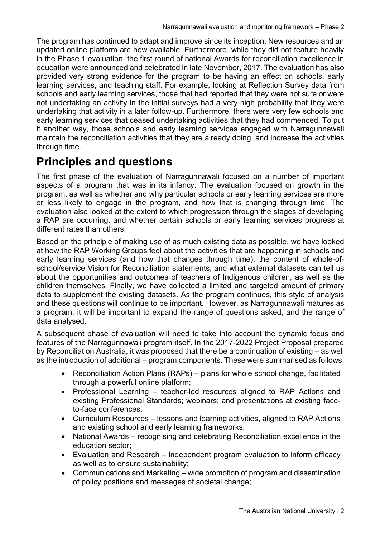The program has continued to adapt and improve since its inception. New resources and an updated online platform are now available. Furthermore, while they did not feature heavily in the Phase 1 evaluation, the first round of national Awards for reconciliation excellence in education were announced and celebrated in late November, 2017. The evaluation has also provided very strong evidence for the program to be having an effect on schools, early learning services, and teaching staff. For example, looking at Reflection Survey data from schools and early learning services, those that had reported that they were not sure or were not undertaking an activity in the initial surveys had a very high probability that they were undertaking that activity in a later follow-up. Furthermore, there were very few schools and early learning services that ceased undertaking activities that they had commenced. To put it another way, those schools and early learning services engaged with Narragunnawali maintain the reconciliation activities that they are already doing, and increase the activities through time.

### **Principles and questions**

The first phase of the evaluation of Narragunnawali focused on a number of important aspects of a program that was in its infancy. The evaluation focused on growth in the program, as well as whether and why particular schools or early learning services are more or less likely to engage in the program, and how that is changing through time. The evaluation also looked at the extent to which progression through the stages of developing a RAP are occurring, and whether certain schools or early learning services progress at different rates than others.

Based on the principle of making use of as much existing data as possible, we have looked at how the RAP Working Groups feel about the activities that are happening in schools and early learning services (and how that changes through time), the content of whole-ofschool/service Vision for Reconciliation statements, and what external datasets can tell us about the opportunities and outcomes of teachers of Indigenous children, as well as the children themselves. Finally, we have collected a limited and targeted amount of primary data to supplement the existing datasets. As the program continues, this style of analysis and these questions will continue to be important. However, as Narragunnawali matures as a program, it will be important to expand the range of questions asked, and the range of data analysed.

A subsequent phase of evaluation will need to take into account the dynamic focus and features of the Narragunnawali program itself. In the 2017-2022 Project Proposal prepared by Reconciliation Australia, it was proposed that there be a continuation of existing – as well as the introduction of additional – program components. These were summarised as follows:

- Reconciliation Action Plans (RAPs) plans for whole school change, facilitated through a powerful online platform;
- Professional Learning teacher-led resources aligned to RAP Actions and existing Professional Standards; webinars; and presentations at existing faceto-face conferences;
- Curriculum Resources lessons and learning activities, aligned to RAP Actions and existing school and early learning frameworks;
- National Awards recognising and celebrating Reconciliation excellence in the education sector;
- Evaluation and Research independent program evaluation to inform efficacy as well as to ensure sustainability;
- Communications and Marketing wide promotion of program and dissemination of policy positions and messages of societal change;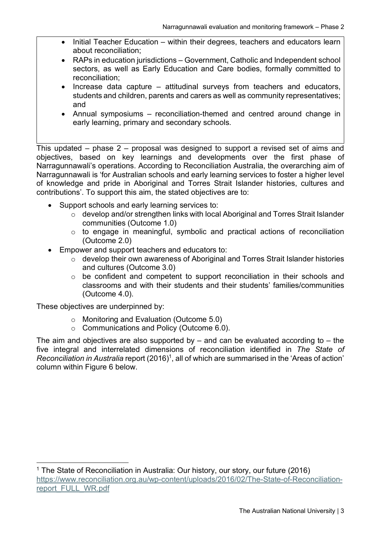- Initial Teacher Education within their degrees, teachers and educators learn about reconciliation;
- RAPs in education jurisdictions Government, Catholic and Independent school sectors, as well as Early Education and Care bodies, formally committed to reconciliation;
- Increase data capture attitudinal surveys from teachers and educators, students and children, parents and carers as well as community representatives; and
- Annual symposiums reconciliation-themed and centred around change in early learning, primary and secondary schools.

This updated – phase 2 – proposal was designed to support a revised set of aims and objectives, based on key learnings and developments over the first phase of Narragunnawali's operations. According to Reconciliation Australia, the overarching aim of Narragunnawali is 'for Australian schools and early learning services to foster a higher level of knowledge and pride in Aboriginal and Torres Strait Islander histories, cultures and contributions'. To support this aim, the stated objectives are to:

- Support schools and early learning services to:
	- $\circ$  develop and/or strengthen links with local Aboriginal and Torres Strait Islander communities (Outcome 1.0)
	- o to engage in meaningful, symbolic and practical actions of reconciliation (Outcome 2.0)
- Empower and support teachers and educators to:
	- o develop their own awareness of Aboriginal and Torres Strait Islander histories and cultures (Outcome 3.0)
	- o be confident and competent to support reconciliation in their schools and classrooms and with their students and their students' families/communities (Outcome 4.0).

These objectives are underpinned by:

- o Monitoring and Evaluation (Outcome 5.0)
- o Communications and Policy (Outcome 6.0).

The aim and objectives are also supported by  $-$  and can be evaluated according to  $-$  the five integral and interrelated dimensions of reconciliation identified in *The State of Reconciliation in Australia* report (2016)<sup>1</sup>, all of which are summarised in the 'Areas of action' column within Figure 6 below.

<sup>&</sup>lt;sup>1</sup> The State of Reconciliation in Australia: Our history, our story, our future (2016) https://www.reconciliation.org.au/wp-content/uploads/2016/02/The-State-of-Reconciliationreport\_FULL\_WR.pdf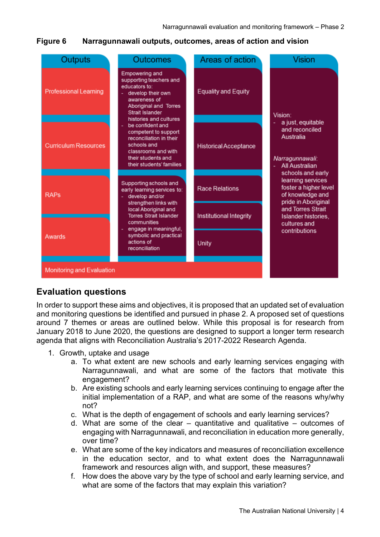#### **Figure 6 Narragunnawali outputs, outcomes, areas of action and vision**

| Outputs                          | <b>Outcomes</b>                                                                                                                                                                                                                                                                                                                                                                                                                                                                                                                                                                                     | Areas of action              | <b>Vision</b>                                                                                                                                                                                                                     |
|----------------------------------|-----------------------------------------------------------------------------------------------------------------------------------------------------------------------------------------------------------------------------------------------------------------------------------------------------------------------------------------------------------------------------------------------------------------------------------------------------------------------------------------------------------------------------------------------------------------------------------------------------|------------------------------|-----------------------------------------------------------------------------------------------------------------------------------------------------------------------------------------------------------------------------------|
| <b>Professional Learning</b>     | Empowering and<br>supporting teachers and<br>educators to:<br>develop their own<br>awareness of<br>Aboriginal and Torres<br>Strait Islander<br>histories and cultures<br>be confident and<br>competent to support<br>reconciliation in their<br>schools and<br>classrooms and with<br>their students and<br>their students' families<br>Supporting schools and<br>early learning services to:<br>develop and/or<br>strengthen links with<br>local Aboriginal and<br><b>Torres Strait Islander</b><br>communities<br>engage in meaningful,<br>symbolic and practical<br>actions of<br>reconciliation | <b>Equality and Equity</b>   | Vision <sup>-</sup><br>a just, equitable<br>and reconciled<br>Australia<br>Narragunnawali:<br><b>All Australian</b><br>schools and early<br>learning services<br>foster a higher level<br>of knowledge and<br>pride in Aboriginal |
| <b>Curriculum Resources</b>      |                                                                                                                                                                                                                                                                                                                                                                                                                                                                                                                                                                                                     | <b>Historical Acceptance</b> |                                                                                                                                                                                                                                   |
| <b>RAPs</b>                      |                                                                                                                                                                                                                                                                                                                                                                                                                                                                                                                                                                                                     | <b>Race Relations</b>        |                                                                                                                                                                                                                                   |
|                                  |                                                                                                                                                                                                                                                                                                                                                                                                                                                                                                                                                                                                     | Institutional Integrity      | and Torres Strait<br>Islander histories,<br>cultures and                                                                                                                                                                          |
| Awards                           |                                                                                                                                                                                                                                                                                                                                                                                                                                                                                                                                                                                                     | Unity                        | contributions                                                                                                                                                                                                                     |
| <b>Monitoring and Evaluation</b> |                                                                                                                                                                                                                                                                                                                                                                                                                                                                                                                                                                                                     |                              |                                                                                                                                                                                                                                   |

#### **Evaluation questions**

In order to support these aims and objectives, it is proposed that an updated set of evaluation and monitoring questions be identified and pursued in phase 2. A proposed set of questions around 7 themes or areas are outlined below. While this proposal is for research from January 2018 to June 2020, the questions are designed to support a longer term research agenda that aligns with Reconciliation Australia's 2017-2022 Research Agenda.

- 1. Growth, uptake and usage
	- a. To what extent are new schools and early learning services engaging with Narragunnawali, and what are some of the factors that motivate this engagement?
	- b. Are existing schools and early learning services continuing to engage after the initial implementation of a RAP, and what are some of the reasons why/why not?
	- c. What is the depth of engagement of schools and early learning services?
	- d. What are some of the clear quantitative and qualitative outcomes of engaging with Narragunnawali, and reconciliation in education more generally, over time?
	- e. What are some of the key indicators and measures of reconciliation excellence in the education sector, and to what extent does the Narragunnawali framework and resources align with, and support, these measures?
	- f. How does the above vary by the type of school and early learning service, and what are some of the factors that may explain this variation?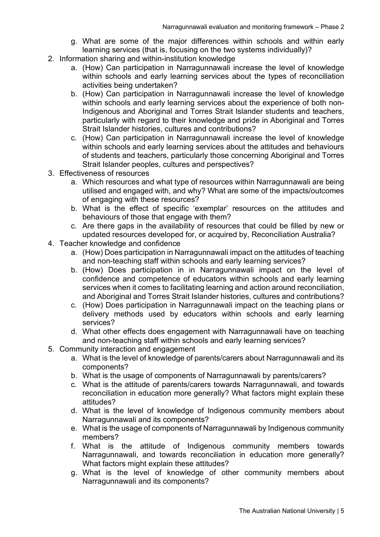- g. What are some of the major differences within schools and within early learning services (that is, focusing on the two systems individually)?
- 2. Information sharing and within-institution knowledge
	- a. (How) Can participation in Narragunnawali increase the level of knowledge within schools and early learning services about the types of reconciliation activities being undertaken?
	- b. (How) Can participation in Narragunnawali increase the level of knowledge within schools and early learning services about the experience of both non-Indigenous and Aboriginal and Torres Strait Islander students and teachers, particularly with regard to their knowledge and pride in Aboriginal and Torres Strait Islander histories, cultures and contributions?
	- c. (How) Can participation in Narragunnawali increase the level of knowledge within schools and early learning services about the attitudes and behaviours of students and teachers, particularly those concerning Aboriginal and Torres Strait Islander peoples, cultures and perspectives?
- 3. Effectiveness of resources
	- a. Which resources and what type of resources within Narragunnawali are being utilised and engaged with, and why? What are some of the impacts/outcomes of engaging with these resources?
	- b. What is the effect of specific 'exemplar' resources on the attitudes and behaviours of those that engage with them?
	- c. Are there gaps in the availability of resources that could be filled by new or updated resources developed for, or acquired by, Reconciliation Australia?
- 4. Teacher knowledge and confidence
	- a. (How) Does participation in Narragunnawali impact on the attitudes of teaching and non-teaching staff within schools and early learning services?
	- b. (How) Does participation in in Narragunnawali impact on the level of confidence and competence of educators within schools and early learning services when it comes to facilitating learning and action around reconciliation, and Aboriginal and Torres Strait Islander histories, cultures and contributions?
	- c. (How) Does participation in Narragunnawali impact on the teaching plans or delivery methods used by educators within schools and early learning services?
	- d. What other effects does engagement with Narragunnawali have on teaching and non-teaching staff within schools and early learning services?
- 5. Community interaction and engagement
	- a. What is the level of knowledge of parents/carers about Narragunnawali and its components?
	- b. What is the usage of components of Narragunnawali by parents/carers?
	- c. What is the attitude of parents/carers towards Narragunnawali, and towards reconciliation in education more generally? What factors might explain these attitudes?
	- d. What is the level of knowledge of Indigenous community members about Narragunnawali and its components?
	- e. What is the usage of components of Narragunnawali by Indigenous community members?
	- f. What is the attitude of Indigenous community members towards Narragunnawali, and towards reconciliation in education more generally? What factors might explain these attitudes?
	- g. What is the level of knowledge of other community members about Narragunnawali and its components?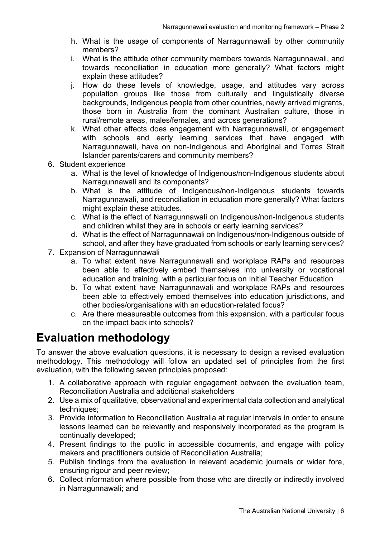- h. What is the usage of components of Narragunnawali by other community members?
- i. What is the attitude other community members towards Narragunnawali, and towards reconciliation in education more generally? What factors might explain these attitudes?
- j. How do these levels of knowledge, usage, and attitudes vary across population groups like those from culturally and linguistically diverse backgrounds, Indigenous people from other countries, newly arrived migrants, those born in Australia from the dominant Australian culture, those in rural/remote areas, males/females, and across generations?
- k. What other effects does engagement with Narragunnawali, or engagement with schools and early learning services that have engaged with Narragunnawali, have on non-Indigenous and Aboriginal and Torres Strait Islander parents/carers and community members?
- 6. Student experience
	- a. What is the level of knowledge of Indigenous/non-Indigenous students about Narragunnawali and its components?
	- b. What is the attitude of Indigenous/non-Indigenous students towards Narragunnawali, and reconciliation in education more generally? What factors might explain these attitudes.
	- c. What is the effect of Narragunnawali on Indigenous/non-Indigenous students and children whilst they are in schools or early learning services?
	- d. What is the effect of Narragunnawali on Indigenous/non-Indigenous outside of school, and after they have graduated from schools or early learning services?
- 7. Expansion of Narragunnawali
	- a. To what extent have Narragunnawali and workplace RAPs and resources been able to effectively embed themselves into university or vocational education and training, with a particular focus on Initial Teacher Education
	- b. To what extent have Narragunnawali and workplace RAPs and resources been able to effectively embed themselves into education jurisdictions, and other bodies/organisations with an education-related focus?
	- c. Are there measureable outcomes from this expansion, with a particular focus on the impact back into schools?

### **Evaluation methodology**

To answer the above evaluation questions, it is necessary to design a revised evaluation methodology. This methodology will follow an updated set of principles from the first evaluation, with the following seven principles proposed:

- 1. A collaborative approach with regular engagement between the evaluation team, Reconciliation Australia and additional stakeholders
- 2. Use a mix of qualitative, observational and experimental data collection and analytical techniques:
- 3. Provide information to Reconciliation Australia at regular intervals in order to ensure lessons learned can be relevantly and responsively incorporated as the program is continually developed;
- 4. Present findings to the public in accessible documents, and engage with policy makers and practitioners outside of Reconciliation Australia;
- 5. Publish findings from the evaluation in relevant academic journals or wider fora, ensuring rigour and peer review;
- 6. Collect information where possible from those who are directly or indirectly involved in Narragunnawali; and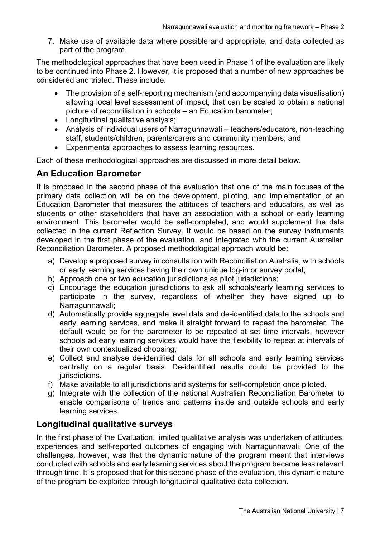7. Make use of available data where possible and appropriate, and data collected as part of the program.

The methodological approaches that have been used in Phase 1 of the evaluation are likely to be continued into Phase 2. However, it is proposed that a number of new approaches be considered and trialed. These include:

- The provision of a self-reporting mechanism (and accompanying data visualisation) allowing local level assessment of impact, that can be scaled to obtain a national picture of reconciliation in schools – an Education barometer;
- Longitudinal qualitative analysis;
- Analysis of individual users of Narragunnawali teachers/educators, non-teaching staff, students/children, parents/carers and community members; and
- Experimental approaches to assess learning resources.

Each of these methodological approaches are discussed in more detail below.

### **An Education Barometer**

It is proposed in the second phase of the evaluation that one of the main focuses of the primary data collection will be on the development, piloting, and implementation of an Education Barometer that measures the attitudes of teachers and educators, as well as students or other stakeholders that have an association with a school or early learning environment. This barometer would be self-completed, and would supplement the data collected in the current Reflection Survey. It would be based on the survey instruments developed in the first phase of the evaluation, and integrated with the current Australian Reconciliation Barometer. A proposed methodological approach would be:

- a) Develop a proposed survey in consultation with Reconciliation Australia, with schools or early learning services having their own unique log-in or survey portal;
- b) Approach one or two education jurisdictions as pilot jurisdictions;
- c) Encourage the education jurisdictions to ask all schools/early learning services to participate in the survey, regardless of whether they have signed up to Narragunnawali;
- d) Automatically provide aggregate level data and de-identified data to the schools and early learning services, and make it straight forward to repeat the barometer. The default would be for the barometer to be repeated at set time intervals, however schools ad early learning services would have the flexibility to repeat at intervals of their own contextualized choosing;
- e) Collect and analyse de-identified data for all schools and early learning services centrally on a regular basis. De-identified results could be provided to the jurisdictions.
- f) Make available to all jurisdictions and systems for self-completion once piloted.
- g) Integrate with the collection of the national Australian Reconciliation Barometer to enable comparisons of trends and patterns inside and outside schools and early learning services.

#### **Longitudinal qualitative surveys**

In the first phase of the Evaluation, limited qualitative analysis was undertaken of attitudes, experiences and self-reported outcomes of engaging with Narragunnawali. One of the challenges, however, was that the dynamic nature of the program meant that interviews conducted with schools and early learning services about the program became less relevant through time. It is proposed that for this second phase of the evaluation, this dynamic nature of the program be exploited through longitudinal qualitative data collection.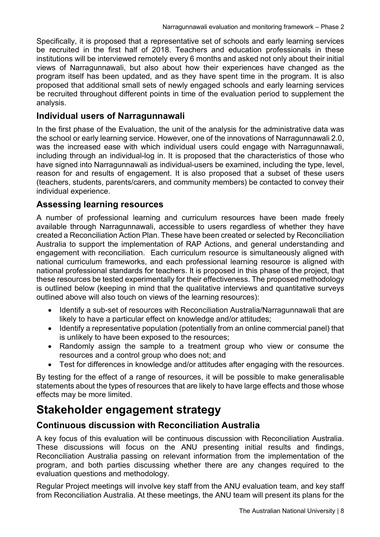Specifically, it is proposed that a representative set of schools and early learning services be recruited in the first half of 2018. Teachers and education professionals in these institutions will be interviewed remotely every 6 months and asked not only about their initial views of Narragunnawali, but also about how their experiences have changed as the program itself has been updated, and as they have spent time in the program. It is also proposed that additional small sets of newly engaged schools and early learning services be recruited throughout different points in time of the evaluation period to supplement the analysis.

#### **Individual users of Narragunnawali**

In the first phase of the Evaluation, the unit of the analysis for the administrative data was the school or early learning service. However, one of the innovations of Narragunnawali 2.0, was the increased ease with which individual users could engage with Narragunnawali, including through an individual-log in. It is proposed that the characteristics of those who have signed into Narragunnawali as individual-users be examined, including the type, level, reason for and results of engagement. It is also proposed that a subset of these users (teachers, students, parents/carers, and community members) be contacted to convey their individual experience.

#### **Assessing learning resources**

A number of professional learning and curriculum resources have been made freely available through Narragunnawali, accessible to users regardless of whether they have created a Reconciliation Action Plan. These have been created or selected by Reconciliation Australia to support the implementation of RAP Actions, and general understanding and engagement with reconciliation. Each curriculum resource is simultaneously aligned with national curriculum frameworks, and each professional learning resource is aligned with national professional standards for teachers. It is proposed in this phase of the project, that these resources be tested experimentally for their effectiveness. The proposed methodology is outlined below (keeping in mind that the qualitative interviews and quantitative surveys outlined above will also touch on views of the learning resources):

- Identify a sub-set of resources with Reconciliation Australia/Narragunnawali that are likely to have a particular effect on knowledge and/or attitudes;
- Identify a representative population (potentially from an online commercial panel) that is unlikely to have been exposed to the resources;
- Randomly assign the sample to a treatment group who view or consume the resources and a control group who does not; and
- Test for differences in knowledge and/or attitudes after engaging with the resources.

By testing for the effect of a range of resources, it will be possible to make generalisable statements about the types of resources that are likely to have large effects and those whose effects may be more limited.

### **Stakeholder engagement strategy**

#### **Continuous discussion with Reconciliation Australia**

A key focus of this evaluation will be continuous discussion with Reconciliation Australia. These discussions will focus on the ANU presenting initial results and findings, Reconciliation Australia passing on relevant information from the implementation of the program, and both parties discussing whether there are any changes required to the evaluation questions and methodology.

Regular Project meetings will involve key staff from the ANU evaluation team, and key staff from Reconciliation Australia. At these meetings, the ANU team will present its plans for the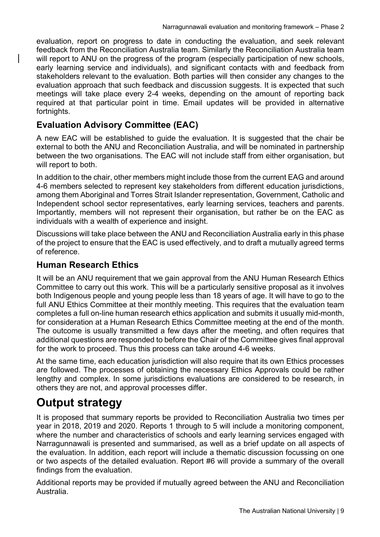evaluation, report on progress to date in conducting the evaluation, and seek relevant feedback from the Reconciliation Australia team. Similarly the Reconciliation Australia team will report to ANU on the progress of the program (especially participation of new schools, early learning service and individuals), and significant contacts with and feedback from stakeholders relevant to the evaluation. Both parties will then consider any changes to the evaluation approach that such feedback and discussion suggests. It is expected that such meetings will take place every 2-4 weeks, depending on the amount of reporting back required at that particular point in time. Email updates will be provided in alternative fortnights.

#### **Evaluation Advisory Committee (EAC)**

A new EAC will be established to guide the evaluation. It is suggested that the chair be external to both the ANU and Reconciliation Australia, and will be nominated in partnership between the two organisations. The EAC will not include staff from either organisation, but will report to both.

In addition to the chair, other members might include those from the current EAG and around 4-6 members selected to represent key stakeholders from different education jurisdictions, among them Aboriginal and Torres Strait Islander representation, Government, Catholic and Independent school sector representatives, early learning services, teachers and parents. Importantly, members will not represent their organisation, but rather be on the EAC as individuals with a wealth of experience and insight.

Discussions will take place between the ANU and Reconciliation Australia early in this phase of the project to ensure that the EAC is used effectively, and to draft a mutually agreed terms of reference.

#### **Human Research Ethics**

It will be an ANU requirement that we gain approval from the ANU Human Research Ethics Committee to carry out this work. This will be a particularly sensitive proposal as it involves both Indigenous people and young people less than 18 years of age. It will have to go to the full ANU Ethics Committee at their monthly meeting. This requires that the evaluation team completes a full on-line human research ethics application and submits it usually mid-month, for consideration at a Human Research Ethics Committee meeting at the end of the month. The outcome is usually transmitted a few days after the meeting, and often requires that additional questions are responded to before the Chair of the Committee gives final approval for the work to proceed. Thus this process can take around 4-6 weeks.

At the same time, each education jurisdiction will also require that its own Ethics processes are followed. The processes of obtaining the necessary Ethics Approvals could be rather lengthy and complex. In some jurisdictions evaluations are considered to be research, in others they are not, and approval processes differ.

### **Output strategy**

It is proposed that summary reports be provided to Reconciliation Australia two times per year in 2018, 2019 and 2020. Reports 1 through to 5 will include a monitoring component, where the number and characteristics of schools and early learning services engaged with Narragunnawali is presented and summarised, as well as a brief update on all aspects of the evaluation. In addition, each report will include a thematic discussion focussing on one or two aspects of the detailed evaluation. Report #6 will provide a summary of the overall findings from the evaluation.

Additional reports may be provided if mutually agreed between the ANU and Reconciliation Australia.